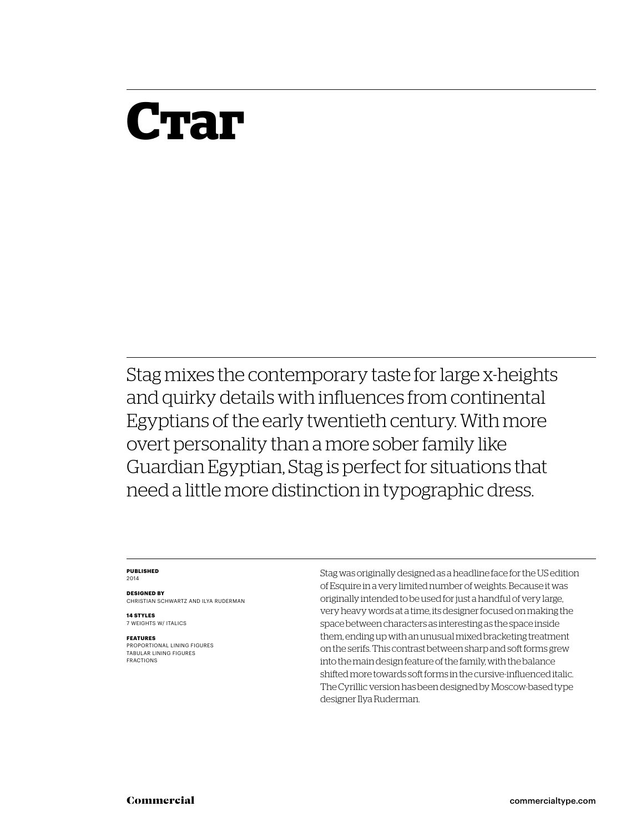## **Стаг**

Stag mixes the contemporary taste for large x-heights and quirky details with influences from continental Egyptians of the early twentieth century. With more overt personality than a more sober family like Guardian Egyptian, Stag is perfect for situations that need a little more distinction in typographic dress.

#### **Published** 2014

**Designed by** Christian Schwartz and Ilya Ruderman

**14 styles** 7 weights w/ ITALICS

#### **Features**

PROPORTIONAL LINING FIGURES Tabular LINING FIGURES FRACTIONS

Stag was originally designed as a headline face for the US edition of Esquire in a very limited number of weights. Because it was originally intended to be used for just a handful of very large, very heavy words at a time, its designer focused on making the space between characters as interesting as the space inside them, ending up with an unusual mixed bracketing treatment on the serifs. This contrast between sharp and soft forms grew into the main design feature of the family, with the balance shifted more towards soft forms in the cursive-influenced italic. The Cyrillic version has been designed by Moscow-based type designer Ilya Ruderman.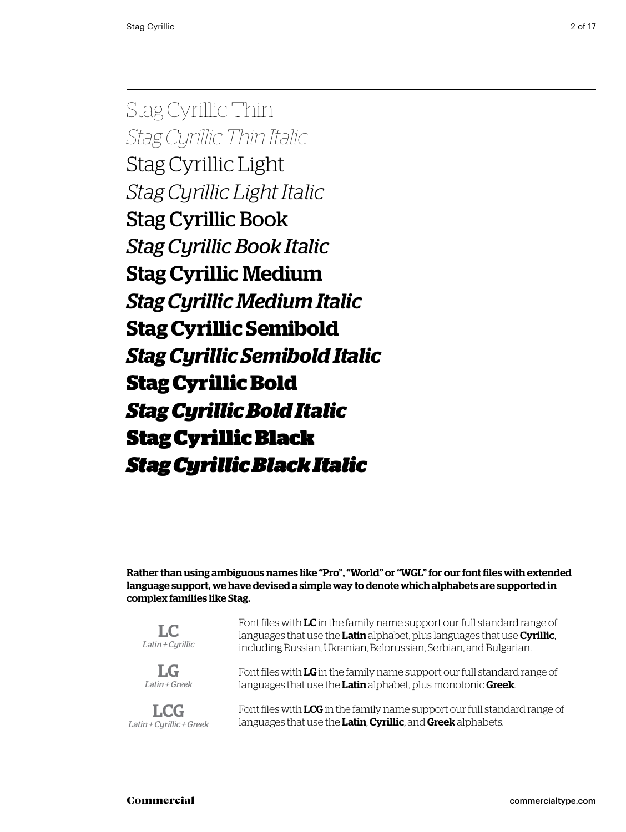Stag Cyrillic Thin *Stag Cyrillic Thin Italic* Stag Cyrillic Light *Stag Cyrillic Light Italic* Stag Cyrillic Book *Stag Cyrillic Book Italic* Stag Cyrillic Medium *Stag Cyrillic Medium Italic* **Stag Cyrillic Semibold** *Stag Cyrillic Semibold Italic* **Stag Cyrillic Bold** *Stag Cyrillic Bold Italic* Stag Cyrillic Black *Stag Cyrillic Black Italic*

Rather than using ambiguous names like "Pro", "World" or "WGL" for our font files with extended language support, we have devised a simple way to denote which alphabets are supported in complex families like Stag.

| $L_{\rm C}$<br>Latin + Cyrillic | Font files with LC in the family name support our full standard range of<br>languages that use the Latin alphabet, plus languages that use Cyrillic,<br>including Russian, Ukranian, Belorussian, Serbian, and Bulgarian. |  |  |
|---------------------------------|---------------------------------------------------------------------------------------------------------------------------------------------------------------------------------------------------------------------------|--|--|
| $L_G$                           | Font files with LG in the family name support our full standard range of                                                                                                                                                  |  |  |
| Latin + Greek                   | languages that use the Latin alphabet, plus monotonic Greek.                                                                                                                                                              |  |  |
| <b>LCG</b>                      | Font files with LCG in the family name support our full standard range of                                                                                                                                                 |  |  |
| Latin + Cyrillic + Greek        | languages that use the Latin, Cyrillic, and Greek alphabets.                                                                                                                                                              |  |  |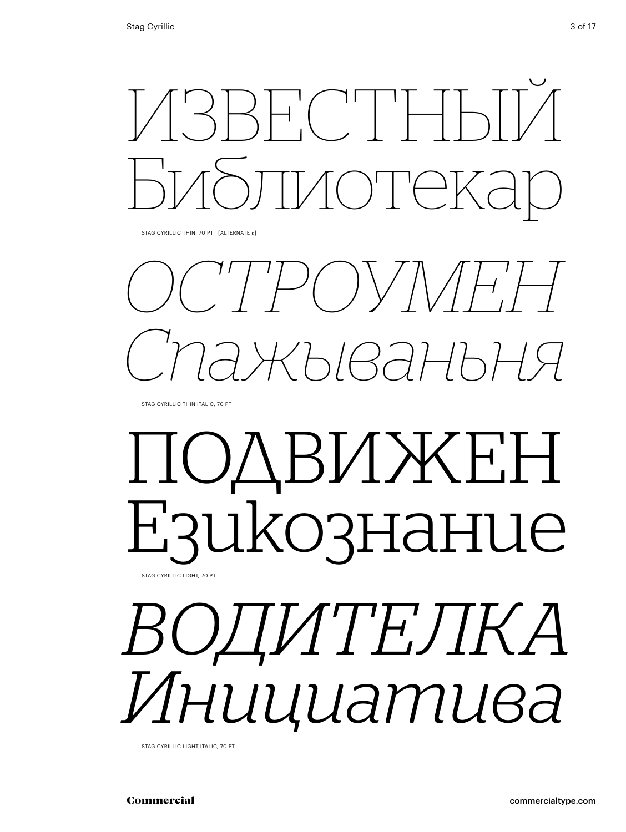

Stag cyrillic Thin, 70 Pt [alternate к]

*остро* () / *Спажываньня*

Stag cyrillic Thin italic, 70 Pt

## подвижен Езикознание Stag cyrillic light, 70 Pt

*водителка Инициатива*

Stag cyrillic light italic, 70 Pt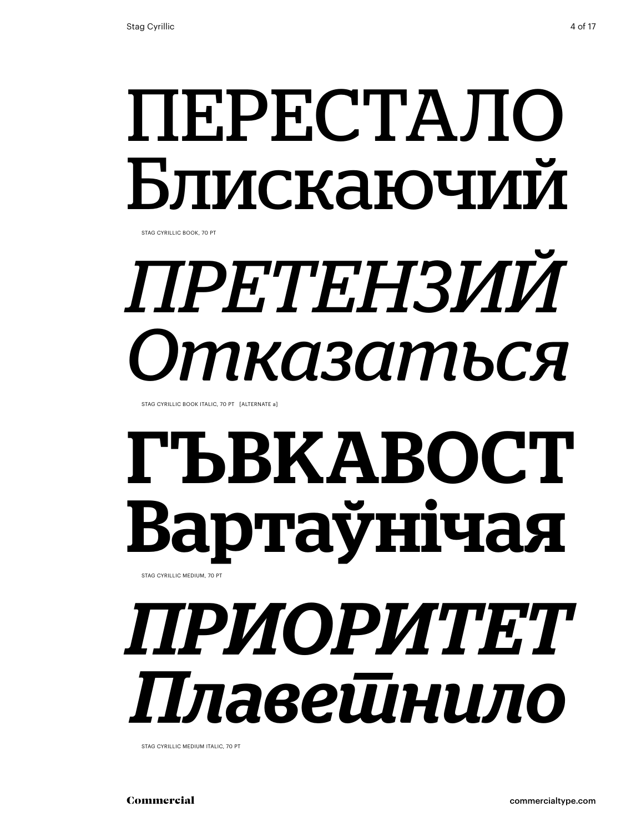# перестало Блискаючий

Stag cyrillic book, 70 Pt

# *претензий Отказаться*

STAG CYRILLIC BOOK ITALIC, 70 PT [ALTERNATE a]

# гъвкавост Вартаўнічая

Stag cyrillic medium, 70 Pt

# *приоритет Плаветнило*

STAG CYRILLIC MEDIUM ITALIC, 70 PT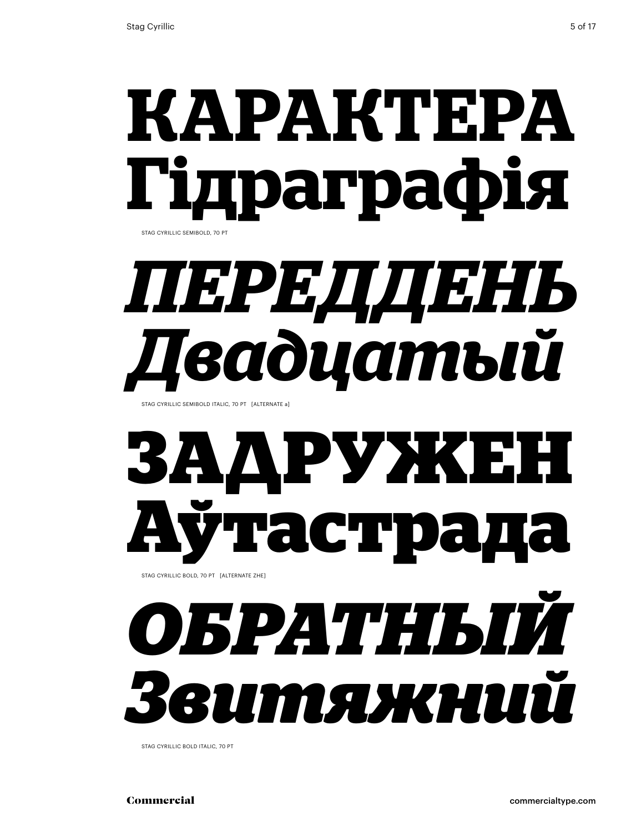# **карактера Гідраграфія**

Stag cyrillic semibold, 70 Pt

# *переддень Двадцатый*

Stag cyrillic semibold italic, 70 Pt [alternate a]

## **задружен Аўтастрада** Stag cyrillic bold, 70 Pt [alternate zhe]

*обратный Звитяжний*

Stag cyrillic bold italic, 70 Pt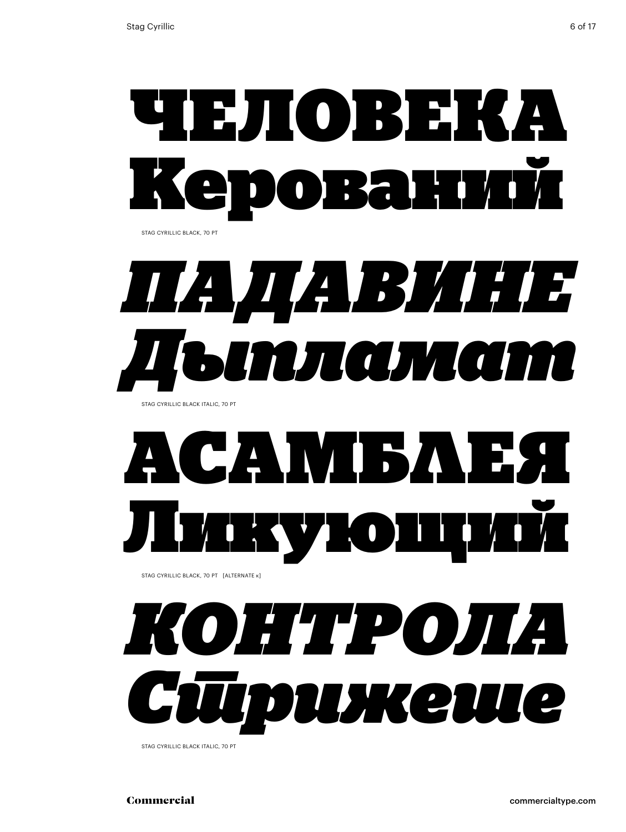

Stag cyrillic black, 70 Pt



Stag cyrillic black italic, 70 Pt

# САМИБЛЕЯ ТОП

Stag cyrillic black, 70 Pt [alternate к]



STAG CYRILLIC BLACK ITALIC, 70 PT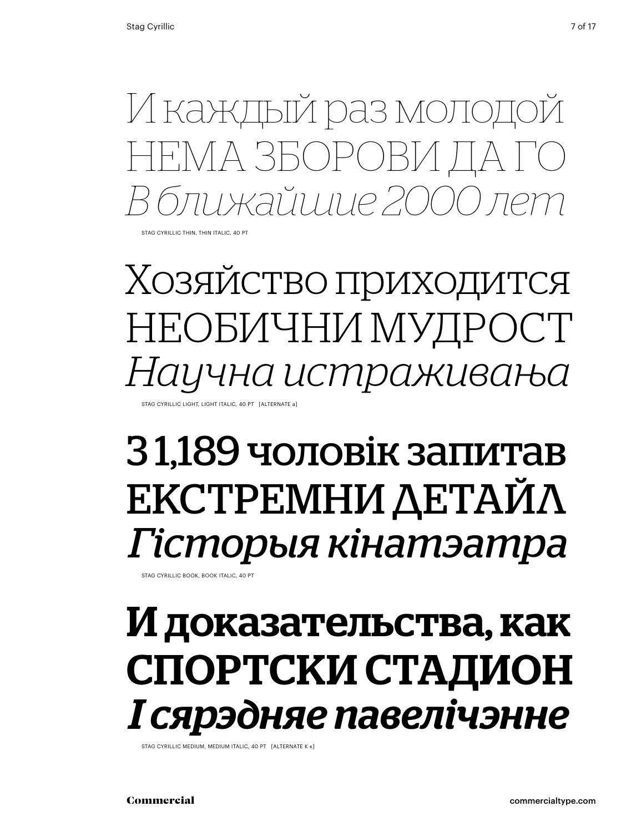И каждый раз молодой нема зборови да го *В ближайшие 2000 лет*

Stag cyrillic thin, thin italic, 40 Pt

Хозяйство приходится необични мудрост *Научна истраживања* STAG CYRILLIC LIGHT, LIGHT ITALIC, 40 PT [ALTERNATE a]

## З 1,189 чоловік запитав екстремни детайл *Гісторыя кінатэатра*

Stag cyrillic book, book italic, 40 Pt

## И доказательства, как спортски стадион *І сярэдняе павелічэнне*

STAG CYRILLIC MEDIUM, MEDIUM ITALIC, 40 PT [ALTERNATE K K]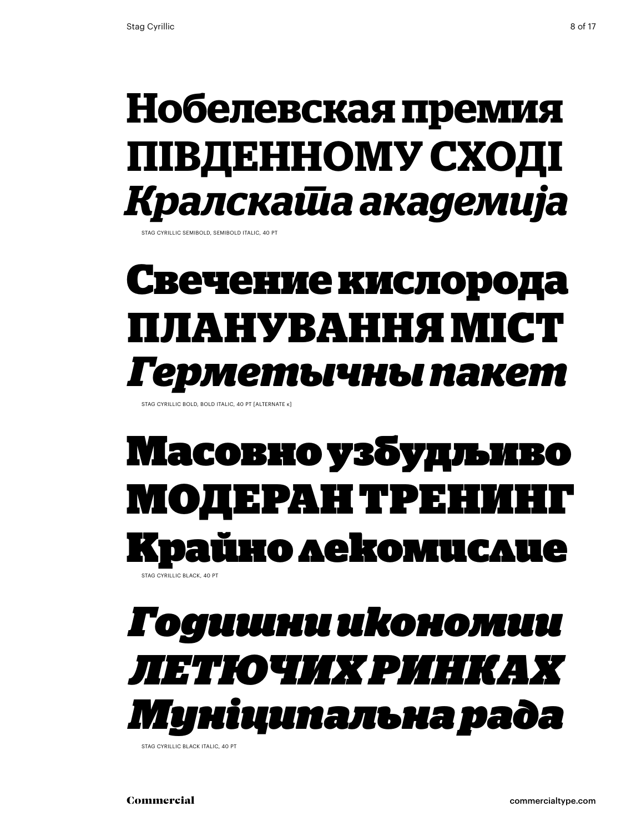## **Нобелевская премия південному сході** *Кралската академија*

Stag cyrillic semibold, semibold italic, 40 Pt

## **Свечение кислорода планування міст** *Герметычны пакет*

Stag cyrillic bold, bold italic, 40 Pt [alternate к]

### Масовно узбудљиво модеран трені йно лекомислие Stag cyrillic black, 40 Pt

### *Годишни икономии летючих ринках Муніципальна рада*

Stag cyrillic black italic, 40 Pt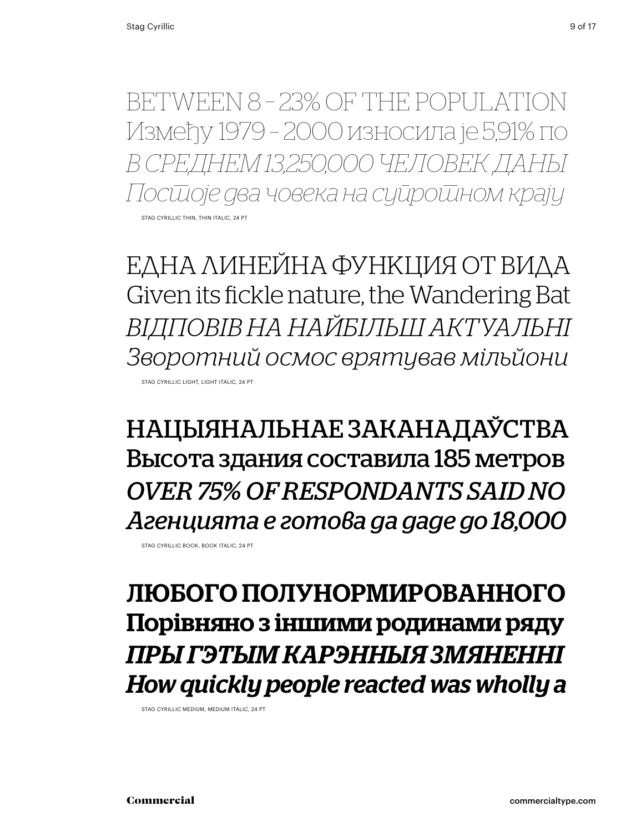between 8 – 23% of the population Између 1979 – 2000 износила је 5,91% по *В среднем 13,250,000 человек даны Постоје два човека на супротном крају* Stag cyrillic thin, thin italic, 24 Pt

една линейна функция от вида Given its fickle nature, the Wandering Bat *відповів на найбільш актуальні Зворотний осмос врятував мільйони* Stag cyrillic light, light italic, 24 Pt

нацыянальнае заканадаўства Высота здания составила 185 метров *over 75% of respondants said no Агенцията е готова да даде до 18,000*

Stag cyrillic book, book italic, 24 Pt

#### любого полунормированного Порівняно з іншими родинами ряду *Пры гэтым карэнныя змяненні How quickly people reacted was wholly a*

Stag cyrillic medium, medium italic, 24 Pt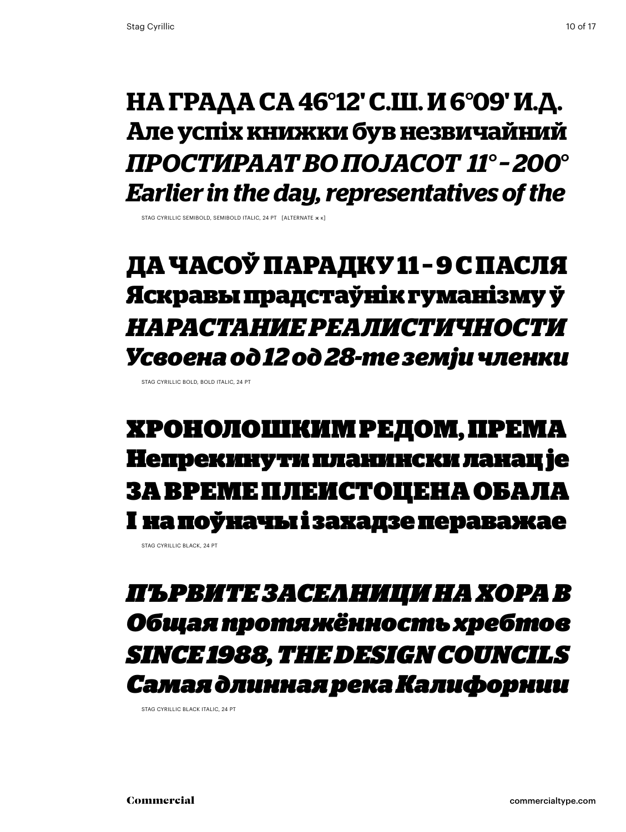#### **на града са 46°12' с.ш. и 6°09' и.д. Але успіх книжки був незвичайний** *простираат во појасот 11° – 200° Earlier in the day, representatives of the*

STAG CYRILLIC SEMIBOLD, SEMIBOLD ITALIC, 24 PT. [ALTERNATE  $x$  k]

### **да часоў парадку 11 – 9 с пасля Яскравы прадстаўнік гуманізму ў** *нарастание реалистичности Усвоена од 12 од 28-те земји членки*

STAG CYRILLIC BOLD, BOI D ITALIC, 24 PT

### хронолошким редом, према Непрекинути планински ланац је За време плеистоцена обала І на поўначы і захадзе пераважае

STAG CYRILLIC BLACK, 24 PT

### *Първите заселници на хора в Общая протяжённость хребтов since 1988, the design councils Самая длинная река Калифорнии*

Stag cyrillic black italic, 24 Pt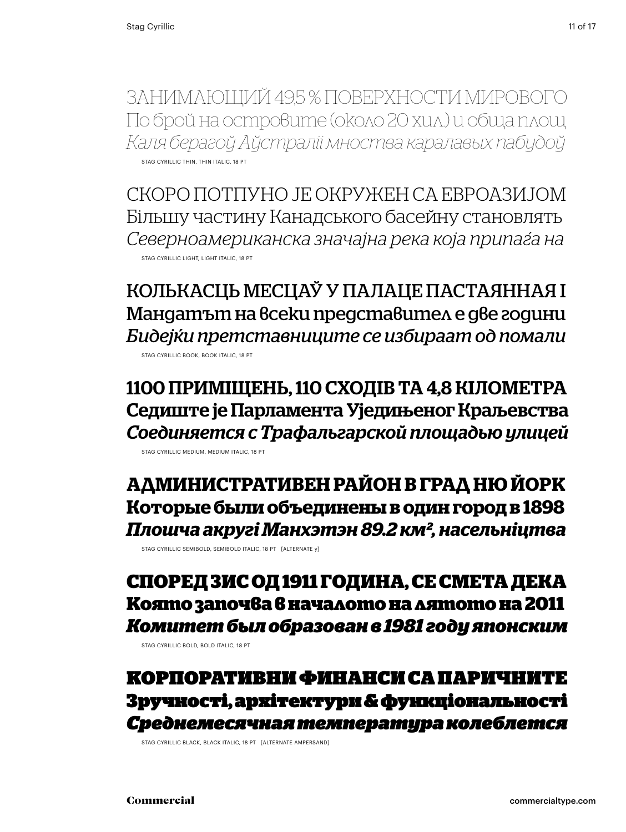Занимающий 49,5 % поверхности Мирового По брой на островите (около 20 хил.) и обща площ *Каля берагоў Аўстраліі мноства каралавых пабудоў* Stag cyrillic thin, thin italic, 18 Pt

Скоро потпуно је окружен са Евроазијом Більшу частину Канадського басейну становлять *Северноамериканска значајна река која припаѓа на* Stag cyrillic light, light italic, 18 Pt

Колькасць месцаў у палаце пастаянная і Мандатът на всеки представител е две години *Бидејќи претставниците се избираат од помали*

Stag cyrillic book, book italic, 18 Pt

1100 приміщень, 110 сходів та 4,8 кілометра Седиште је Парламента Уједињеног Краљевства *Соединяется с Трафальгарской площадью улицей*

Stag cyrillic medium, medium italic, 18 Pt

**административен район в град Ню Йорк Которые были объединены в один город в 1898**  *Плошча акругі Манхэтэн 89.2 км², насельніцтва*

STAG CYRILLIC SEMIBOLD, SEMIBOLD ITALIC, 18 PT [ALTERNATE y]

#### **Според ЗИС од 1911 година, се смета дека Която започва в началото на лятото на 2011** *Комитет был образован в 1981 году японским*

STAG CYRILLIC BOLD, BOLD ITALIC, 18 PT

Корпоративни финанси са паричните Зручності, архітектури & функціональності *Среднемесячная температура колеблется*

Stag cyrillic black, black italic, 18 Pt [alternate ampersand]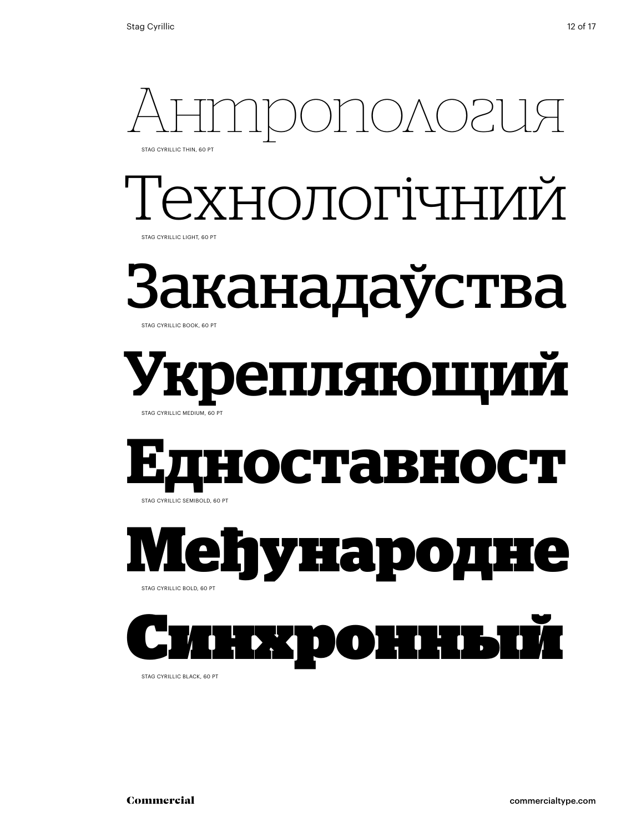

Stag cyrillic black, 60 Pt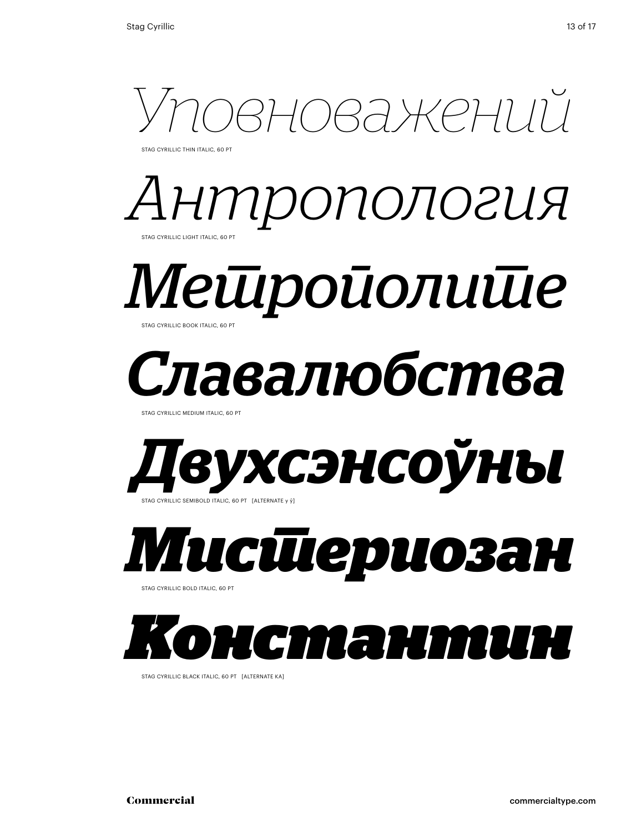

STAG CYRILLIC THIN ITALIC, 60 PT





## *Славалюбства*

STAG CYRILLIC MEDIUM ITALIC, 60 PT



*Мистериозан*  Stag cyrillic bold italic, 60 Pt



Stag cyrillic black italic, 60 Pt [alternate ka]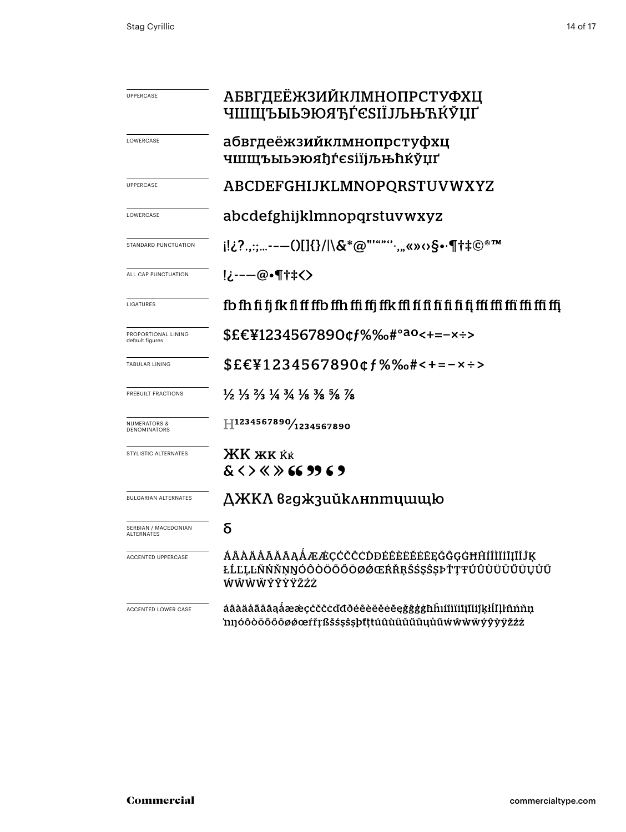| UPPERCASE                               | АБВГДЕЁЖЗИЙКЛМНОПРСТУФХЦ<br>ҸШЩЪЫЬЭЮЯЂЃЄЅІЇЈЉЊЋЌЎЏҐ                                                                           |  |  |  |  |  |
|-----------------------------------------|-------------------------------------------------------------------------------------------------------------------------------|--|--|--|--|--|
| LOWERCASE                               | абвгдеёжзийклмнопрстуфхц<br>чшшъыьэюяђѓєѕіїјљњћќўџґ                                                                           |  |  |  |  |  |
| <b>UPPERCASE</b>                        | ABCDEFGHIJKLMNOPQRSTUVWXYZ                                                                                                    |  |  |  |  |  |
| LOWERCASE                               | abcdefghijklmnopqrstuvwxyz                                                                                                    |  |  |  |  |  |
| STANDARD PUNCTUATION                    | i!¿?.,:;---()[]{}/ \&*@"'""".,,«»<>S•·¶†‡©®™                                                                                  |  |  |  |  |  |
| ALL CAP PUNCTUATION                     | !¿---@•¶†‡<>                                                                                                                  |  |  |  |  |  |
| LIGATURES                               |                                                                                                                               |  |  |  |  |  |
| PROPORTIONAL LINING<br>default figures  | \$£€¥1234567890¢f%‰#° <sup>ao</sup> <+=-×÷>                                                                                   |  |  |  |  |  |
| <b>TABULAR LINING</b>                   | $$EE41234567890$ cf%‰#<+=-x÷>                                                                                                 |  |  |  |  |  |
| PREBUILT FRACTIONS                      | $\frac{1}{2}$ $\frac{1}{3}$ $\frac{2}{3}$ $\frac{1}{4}$ $\frac{3}{4}$ $\frac{1}{8}$ $\frac{3}{8}$ $\frac{5}{8}$ $\frac{7}{8}$ |  |  |  |  |  |
| <b>NUMERATORS &amp;</b><br>DENOMINATORS | H1234567890/1234567890                                                                                                        |  |  |  |  |  |
| STYLISTIC ALTERNATES                    | <b>XK XK KK</b><br>$<$ > $<$ > 66 99 6 9                                                                                      |  |  |  |  |  |
| <b>BULGARIAN ALTERNATES</b>             | ДЖКЛ вгджзийклнптцшщю                                                                                                         |  |  |  |  |  |
| SERBIAN / MACEDONIAN<br>ALTERNATES      | δ                                                                                                                             |  |  |  |  |  |
| <b>ACCENTED UPPERCASE</b>               | ÁÂÀÄÄÄÄĀĄÅÆÆÇĆČĈDĐÉÊÈËĔĒĒĘĞĜĢĠĦĤÍÎÌĬĪĮĨĬĴĶ<br>ŁĹĽĻĿÑŃŇŅŊÓÔŎŎŎŐŌØØŒŔŘŖŠŚŞŜŞÞŤŢŦÚÛÙÜŬŰŪŲŮŨ<br>WŴŴŴÝŶŶŸŽŹŻ                       |  |  |  |  |  |
| ACCENTED LOWER CASE                     | áâàäåãăāąåææçćčĉċďđðéêèëĕėēęğĝģġħĥıíîìïiīįĩĭiĵķłĺľḷŀñńňņ<br>'nŋóôòöõőōøøœŕřŗßšśşŝşþťţŧúûùüüüüüüűwŵwÿÿÿÿžźż                    |  |  |  |  |  |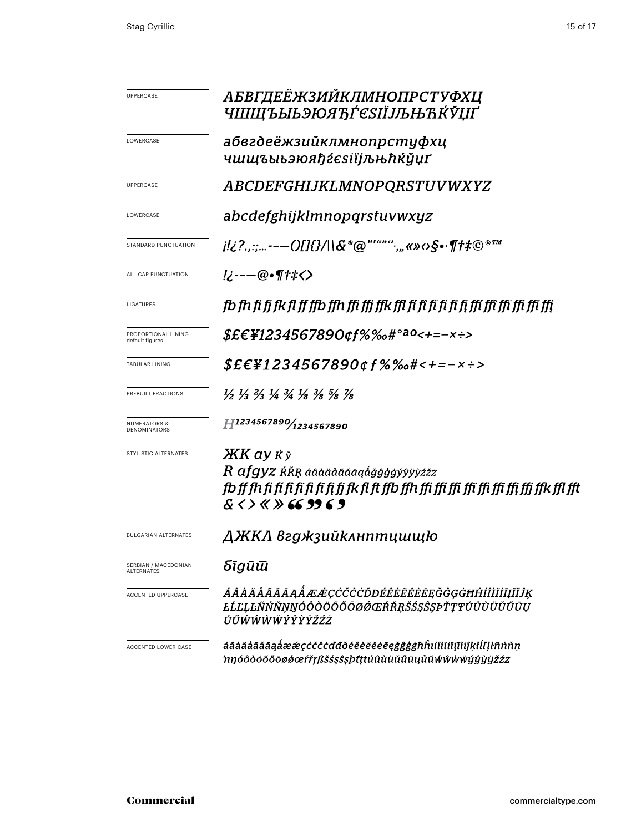| <b>UPPERCASE</b>                        | АБВГДЕЁЖЗИЙКЛМНОПРСТУФХЦ<br><i>ЧШЩЪЫЬЭЮЯЋЃЄЅІЇЈЉЊЋЌЎЏҐ</i>                                                                    |  |  |  |  |
|-----------------------------------------|-------------------------------------------------------------------------------------------------------------------------------|--|--|--|--|
|                                         |                                                                                                                               |  |  |  |  |
| LOWERCASE                               | абвгдеёжзийклмнопрстуфхц                                                                                                      |  |  |  |  |
|                                         | чшщъыьэюяђѓєѕіїїЉЊћќўµґ                                                                                                       |  |  |  |  |
| <b>UPPERCASE</b>                        | <i>ABCDEFGHIJKLMNOPQRSTUVWXYZ</i>                                                                                             |  |  |  |  |
| LOWERCASE                               | abcdefghijklmnopqrstuvwxyz                                                                                                    |  |  |  |  |
| STANDARD PUNCTUATION                    | j!¿?.,:;---()[]{}/ \&*@"'""'`;"«»‹›§•·¶†‡©®™                                                                                  |  |  |  |  |
| ALL CAP PUNCTUATION                     | <u>!¿---</u> @•¶†‡<>                                                                                                          |  |  |  |  |
| LIGATURES                               |                                                                                                                               |  |  |  |  |
| PROPORTIONAL LINING<br>default figures  | <i>\$£€¥1234567890¢f%‰#°<sup>ao</sup>&lt;+=−×÷&gt;</i>                                                                        |  |  |  |  |
| <b>TABULAR LINING</b>                   | $$E\epsilon$ ¥1234567890¢f%‰#<+=-×÷>                                                                                          |  |  |  |  |
| PREBUILT FRACTIONS                      | $\frac{1}{2}$ $\frac{1}{3}$ $\frac{2}{3}$ $\frac{1}{4}$ $\frac{3}{4}$ $\frac{1}{8}$ $\frac{3}{8}$ $\frac{5}{8}$ $\frac{7}{8}$ |  |  |  |  |
| <b>NUMERATORS &amp;</b><br>DENOMINATORS | H1234567890/1234567890                                                                                                        |  |  |  |  |
| STYLISTIC ALTERNATES                    | $XK$ ay $\dot{K} \check{y}$                                                                                                   |  |  |  |  |
|                                         | $\emph{R}$ $\emph{afgyz}$ ŔŘŖ áâàäåãă $\emph{a}$ áģĝģģýŷÿỳżžż                                                                 |  |  |  |  |
|                                         | fb ff fh fi fi fi fi fi fi fi fi fi fi fk fl ft ffb ffh ffi ffi ffi ffi ffi ffi ffi ffi ffk ffl ffl                           |  |  |  |  |
|                                         | $8 \leftrightarrow 8 \times 69969$                                                                                            |  |  |  |  |
| <b>BULGARIAN ALTERNATES</b>             | ДЖКЛ вгджзийклнптцшщю                                                                                                         |  |  |  |  |
| SERBIAN / MACEDONIAN<br>ALTERNATES      | δīgūū                                                                                                                         |  |  |  |  |
| <b>ACCENTED UPPERCASE</b>               | ÁÂÀÄÅÃĂĀĄÅÆÆÇĆČĈÒĐÉÊÈËĔĔEĘĞĜĢĠĦĤÍÎÌĬĪĮĨĬĴĶ<br>ŁĹĽĻĿÑŃŇŅŊÓÔŎŎŐŐŌØØŒŔŘŖŠŚŞŜȘÞŤŢŦÚÛÙÜŬŰŪŲ<br>ŮŨŴŴŴŴÝŶŶŸŽŹŻ                       |  |  |  |  |
| ACCENTED LOWER CASE                     | áâàäåãăāaåææçćčĉċďđðéêèëĕēeğĝģġħĥıíîìïiijĩiíjkłĺľlŀñńňṇ<br>'nŋóôòöõõōøøœŕřŗßšśşŝşþťţŧúûùüŭűūųůũẃŵẁẅÿŷỳÿžźż                    |  |  |  |  |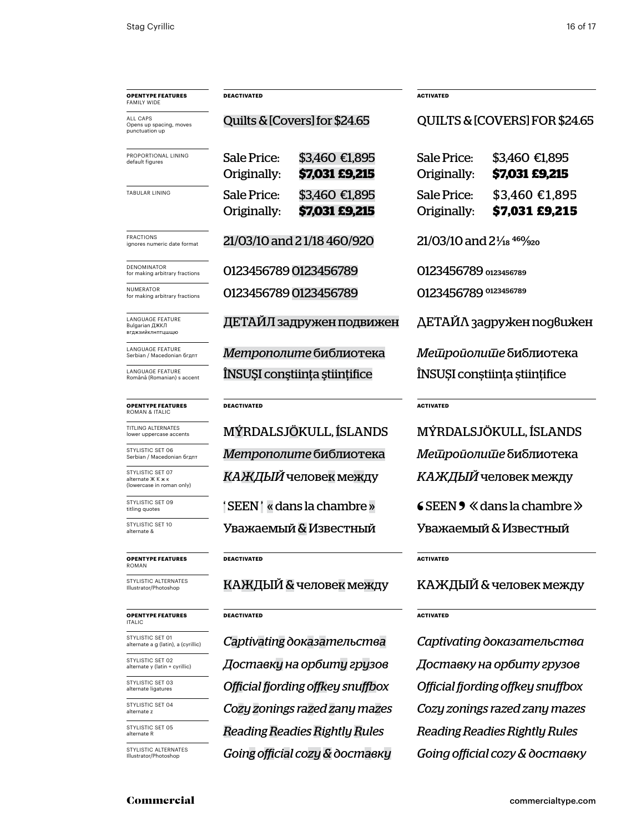| <b>OPENTYPE FEATURES</b><br><b>FAMILY WIDE</b>                  | <b>DEACTIVATED</b>                |                                         | <b>ACTIVATED</b>                                 |                                  |  |
|-----------------------------------------------------------------|-----------------------------------|-----------------------------------------|--------------------------------------------------|----------------------------------|--|
| ALL CAPS<br>Opens up spacing, moves<br>punctuation up           | Quilts & [Covers] for \$24.65     |                                         | QUILTS & [COVERS] FOR \$24.65                    |                                  |  |
| PROPORTIONAL LINING<br>default figures                          | Sale Price:<br>Originally:        | \$3,460 €1,895<br><b>\$7,031 £9,215</b> | Sale Price:<br>Originally:                       | \$3,460 €1,895<br>\$7,031 £9,215 |  |
| TABULAR LINING                                                  | <b>Sale Price:</b><br>Originally: | \$3,460 €1,895<br>\$7,031 £9,215        | Sale Price:<br>Originally:                       | \$3,460 €1,895<br>\$7,031 £9,215 |  |
| <b>FRACTIONS</b><br>ignores numeric date format                 | 21/03/10 and 21/18 460/920        |                                         | $21/03/10$ and $2\frac{1}{18}$ 46% <sub>20</sub> |                                  |  |
| DENOMINATOR<br>for making arbitrary fractions                   | 0123456789 0123456789             |                                         | O123456789 0123456789                            |                                  |  |
| NUMERATOR<br>for making arbitrary fractions                     | 0123456789 0123456789             |                                         | 0123456789 0123456789                            |                                  |  |
| LANGUAGE FEATURE<br>Bulgarian ДЖКЛ<br>вгджзийклнптцшщю          | ДЕТАЙЛ задружен подвижен          |                                         | ДЕТАЙЛ задружен подвижен                         |                                  |  |
| LANGUAGE FEATURE<br>Serbian / Macedonian бгдпт                  | Метрополите библиотека            |                                         | Мешройолише библиотека                           |                                  |  |
| LANGUAGE FEATURE<br>Română (Romanian) s accent                  | ÎNSUȘI conștiința științifice     |                                         | ÎNSUȘI conștiința științifice                    |                                  |  |
| <b>OPENTYPE FEATURES</b><br><b>ROMAN &amp; ITALIC</b>           | <b>DEACTIVATED</b>                |                                         | <b>ACTIVATED</b>                                 |                                  |  |
| TITLING ALTERNATES<br>lower uppercase accents                   |                                   | MÝRDALSJÖKULL, ÍSLANDS                  | MÝRDALSJÖKULL, ÍSLANDS                           |                                  |  |
| STYLISTIC SET 06<br>Serbian / Macedonian бгдпт                  | <i>Метрополите</i> библиотека     |                                         | Мешройолише библиотека                           |                                  |  |
| STYLISTIC SET 07<br>alternate ЖКжк<br>(lowercase in roman only) | <i>КАЖДЫЙ</i> человек между       |                                         | КАЖДЫЙ человек между                             |                                  |  |
| STYLISTIC SET 09<br>titling quotes                              | 'SEEN' « dans la chambre »        |                                         | $\leq$ SEEN $\geq$ $\leq$ dans la chambre $\gg$  |                                  |  |
| STYLISTIC SET 10<br>alternate &                                 | Уважаемый & Известный             |                                         | Уважаемый & Известный                            |                                  |  |
| <b>OPENTYPE FEATURES</b><br><b>ROMAN</b>                        | <b>DEACTIVATED</b>                |                                         | ACTIVATED                                        |                                  |  |
| STYLISTIC ALTERNATES<br>Illustrator/Photoshop                   |                                   | КАЖДЫЙ & человек между                  | КАЖДЫЙ & человек между                           |                                  |  |
| <b>OPENTYPE FEATURES</b><br><b>ITALIC</b>                       | <b>DEACTIVATED</b>                |                                         | <b>ACTIVATED</b>                                 |                                  |  |
| STYLISTIC SET 01<br>alternate a g (latin), a (cyrillic)         | Captivating доказательства        |                                         | Captivating доказательства                       |                                  |  |
| STYLISTIC SET 02<br>alternate y (latin + cyrillic)              |                                   | Доставку на орбиту грузов               | Доставку на орбиту грузов                        |                                  |  |
| STYLISTIC SET 03<br>alternate ligatures                         | Official fjording offkey snuffbox |                                         | Official fjording offkey snuffbox                |                                  |  |

STYLISTIC SET 04 alternate z

STYLISTIC SET 05 alternate R

STYLISTIC ALTERNATES Illustrator/Photoshop

*Cozy zonings razed zany mazes Cozy zonings razed zany mazes Reading Readies Rightly Rules Reading Readies Rightly Rules Going official cozy& доставку Going official cozy & доставку*